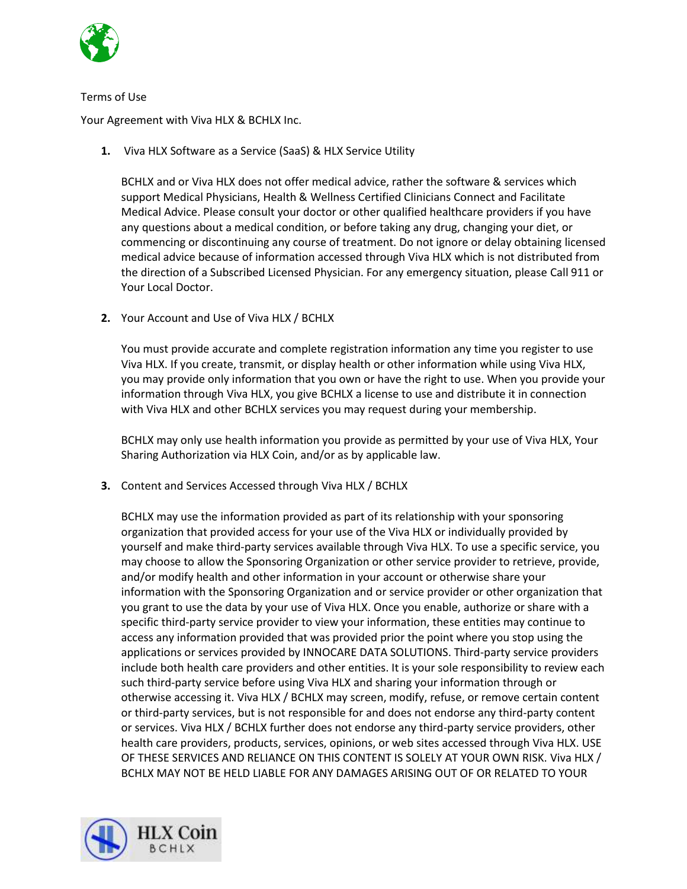

## Terms of Use

Your Agreement with Viva HLX & BCHLX Inc.

**1.** Viva HLX Software as a Service (SaaS) & HLX Service Utility

BCHLX and or Viva HLX does not offer medical advice, rather the software & services which support Medical Physicians, Health & Wellness Certified Clinicians Connect and Facilitate Medical Advice. Please consult your doctor or other qualified healthcare providers if you have any questions about a medical condition, or before taking any drug, changing your diet, or commencing or discontinuing any course of treatment. Do not ignore or delay obtaining licensed medical advice because of information accessed through Viva HLX which is not distributed from the direction of a Subscribed Licensed Physician. For any emergency situation, please Call 911 or Your Local Doctor.

**2.** Your Account and Use of Viva HLX / BCHLX

You must provide accurate and complete registration information any time you register to use Viva HLX. If you create, transmit, or display health or other information while using Viva HLX, you may provide only information that you own or have the right to use. When you provide your information through Viva HLX, you give BCHLX a license to use and distribute it in connection with Viva HLX and other BCHLX services you may request during your membership.

BCHLX may only use health information you provide as permitted by your use of Viva HLX, Your Sharing Authorization via HLX Coin, and/or as by applicable law.

**3.** Content and Services Accessed through Viva HLX / BCHLX

BCHLX may use the information provided as part of its relationship with your sponsoring organization that provided access for your use of the Viva HLX or individually provided by yourself and make third-party services available through Viva HLX. To use a specific service, you may choose to allow the Sponsoring Organization or other service provider to retrieve, provide, and/or modify health and other information in your account or otherwise share your information with the Sponsoring Organization and or service provider or other organization that you grant to use the data by your use of Viva HLX. Once you enable, authorize or share with a specific third-party service provider to view your information, these entities may continue to access any information provided that was provided prior the point where you stop using the applications or services provided by INNOCARE DATA SOLUTIONS. Third-party service providers include both health care providers and other entities. It is your sole responsibility to review each such third-party service before using Viva HLX and sharing your information through or otherwise accessing it. Viva HLX / BCHLX may screen, modify, refuse, or remove certain content or third-party services, but is not responsible for and does not endorse any third-party content or services. Viva HLX / BCHLX further does not endorse any third-party service providers, other health care providers, products, services, opinions, or web sites accessed through Viva HLX. USE OF THESE SERVICES AND RELIANCE ON THIS CONTENT IS SOLELY AT YOUR OWN RISK. Viva HLX / BCHLX MAY NOT BE HELD LIABLE FOR ANY DAMAGES ARISING OUT OF OR RELATED TO YOUR

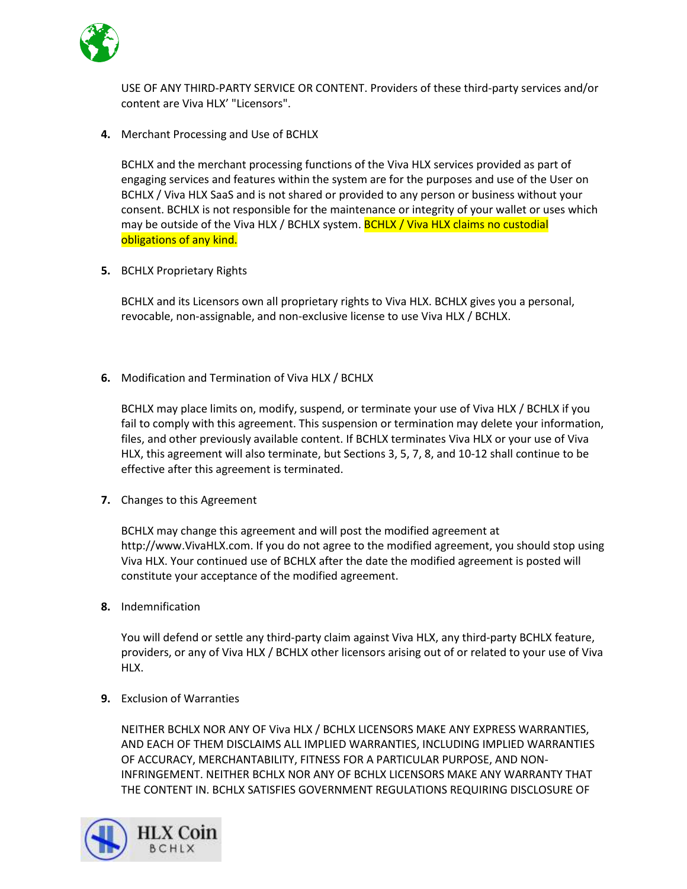

USE OF ANY THIRD-PARTY SERVICE OR CONTENT. Providers of these third-party services and/or content are Viva HLX' "Licensors".

**4.** Merchant Processing and Use of BCHLX

BCHLX and the merchant processing functions of the Viva HLX services provided as part of engaging services and features within the system are for the purposes and use of the User on BCHLX / Viva HLX SaaS and is not shared or provided to any person or business without your consent. BCHLX is not responsible for the maintenance or integrity of your wallet or uses which may be outside of the Viva HLX / BCHLX system. **BCHLX / Viva HLX claims no custodial** obligations of any kind.

**5.** BCHLX Proprietary Rights

BCHLX and its Licensors own all proprietary rights to Viva HLX. BCHLX gives you a personal, revocable, non-assignable, and non-exclusive license to use Viva HLX / BCHLX.

**6.** Modification and Termination of Viva HLX / BCHLX

BCHLX may place limits on, modify, suspend, or terminate your use of Viva HLX / BCHLX if you fail to comply with this agreement. This suspension or termination may delete your information, files, and other previously available content. If BCHLX terminates Viva HLX or your use of Viva HLX, this agreement will also terminate, but Sections 3, 5, 7, 8, and 10-12 shall continue to be effective after this agreement is terminated.

**7.** Changes to this Agreement

BCHLX may change this agreement and will post the modified agreement at http://www.VivaHLX.com. If you do not agree to the modified agreement, you should stop using Viva HLX. Your continued use of BCHLX after the date the modified agreement is posted will constitute your acceptance of the modified agreement.

**8.** Indemnification

You will defend or settle any third-party claim against Viva HLX, any third-party BCHLX feature, providers, or any of Viva HLX / BCHLX other licensors arising out of or related to your use of Viva HLX.

**9.** Exclusion of Warranties

NEITHER BCHLX NOR ANY OF Viva HLX / BCHLX LICENSORS MAKE ANY EXPRESS WARRANTIES, AND EACH OF THEM DISCLAIMS ALL IMPLIED WARRANTIES, INCLUDING IMPLIED WARRANTIES OF ACCURACY, MERCHANTABILITY, FITNESS FOR A PARTICULAR PURPOSE, AND NON-INFRINGEMENT. NEITHER BCHLX NOR ANY OF BCHLX LICENSORS MAKE ANY WARRANTY THAT THE CONTENT IN. BCHLX SATISFIES GOVERNMENT REGULATIONS REQUIRING DISCLOSURE OF